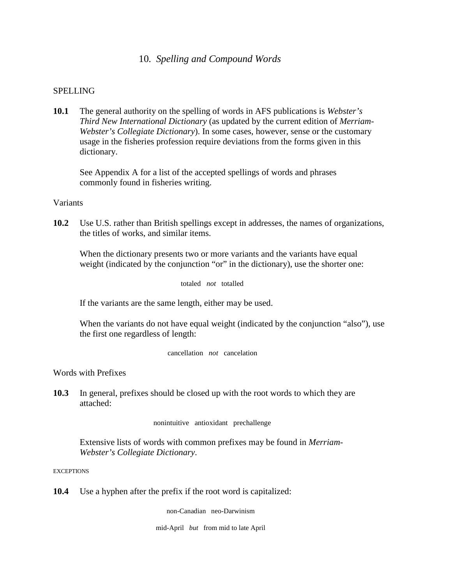# 10*. Spelling and Compound Words*

## SPELLING

**10.1** The general authority on the spelling of words in AFS publications is *Webster's Third New International Dictionary* (as updated by the current edition of *Merriam-Webster's Collegiate Dictionary*). In some cases, however, sense or the customary usage in the fisheries profession require deviations from the forms given in this dictionary.

See Appendix A for a list of the accepted spellings of words and phrases commonly found in fisheries writing.

## Variants

**10.2** Use U.S. rather than British spellings except in addresses, the names of organizations, the titles of works, and similar items.

When the dictionary presents two or more variants and the variants have equal weight (indicated by the conjunction "or" in the dictionary), use the shorter one:

totaled *not* totalled

If the variants are the same length, either may be used.

When the variants do not have equal weight (indicated by the conjunction "also"), use the first one regardless of length:

cancellation *not* cancelation

Words with Prefixes

**10.3** In general, prefixes should be closed up with the root words to which they are attached:

nonintuitive antioxidant prechallenge

Extensive lists of words with common prefixes may be found in *Merriam-Webster's Collegiate Dictionary*.

**EXCEPTIONS** 

**10.4** Use a hyphen after the prefix if the root word is capitalized:

non-Canadian neo-Darwinism

mid-April *but* from mid to late April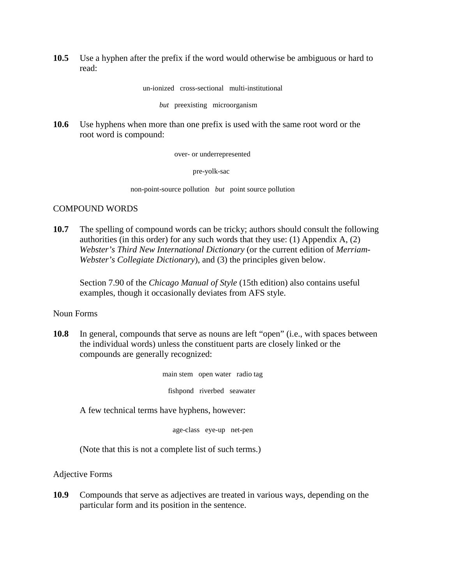**10.5** Use a hyphen after the prefix if the word would otherwise be ambiguous or hard to read:

un-ionized cross-sectional multi-institutional

*but* preexisting microorganism

**10.6** Use hyphens when more than one prefix is used with the same root word or the root word is compound:

over- or underrepresented

pre-yolk-sac

non-point-source pollution *but* point source pollution

## COMPOUND WORDS

**10.7** The spelling of compound words can be tricky; authors should consult the following authorities (in this order) for any such words that they use: (1) Appendix  $A$ , (2) *Webster's Third New International Dictionary* (or the current edition of *Merriam-Webster's Collegiate Dictionary*), and (3) the principles given below.

Section 7.90 of the *Chicago Manual of Style* (15th edition) also contains useful examples, though it occasionally deviates from AFS style.

## Noun Forms

**10.8** In general, compounds that serve as nouns are left "open" (i.e., with spaces between the individual words) unless the constituent parts are closely linked or the compounds are generally recognized:

> main stem open water radio tag fishpond riverbed seawater

A few technical terms have hyphens, however:

age-class eye-up net-pen

(Note that this is not a complete list of such terms.)

Adjective Forms

**10.9** Compounds that serve as adjectives are treated in various ways, depending on the particular form and its position in the sentence.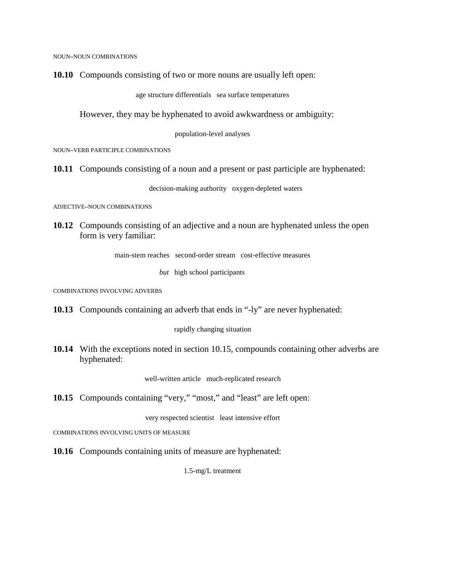NOUN–NOUN COMBINATIONS

**10.10** Compounds consisting of two or more nouns are usually left open:

age structure differentials sea surface temperatures

However, they may be hyphenated to avoid awkwardness or ambiguity:

population-level analyses

NOUN–VERB PARTICIPLE COMBINATIONS

**10.11** Compounds consisting of a noun and a present or past participle are hyphenated:

decision-making authority oxygen-depleted waters

ADJECTIVE–NOUN COMBINATIONS

**10.12** Compounds consisting of an adjective and a noun are hyphenated unless the open form is very familiar:

main-stem reaches second-order stream cost-effective measures

*but* high school participants

COMBINATIONS INVOLVING ADVERBS

**10.13** Compounds containing an adverb that ends in "-ly" are never hyphenated:

rapidly changing situation

**10.14** With the exceptions noted in section 10.15, compounds containing other adverbs are hyphenated:

well-written article much-replicated research

**10.15** Compounds containing "very," "most," and "least" are left open:

very respected scientist least intensive effort

COMBINATIONS INVOLVING UNITS OF MEASURE

**10.16** Compounds containing units of measure are hyphenated:

1.5-mg/L treatment